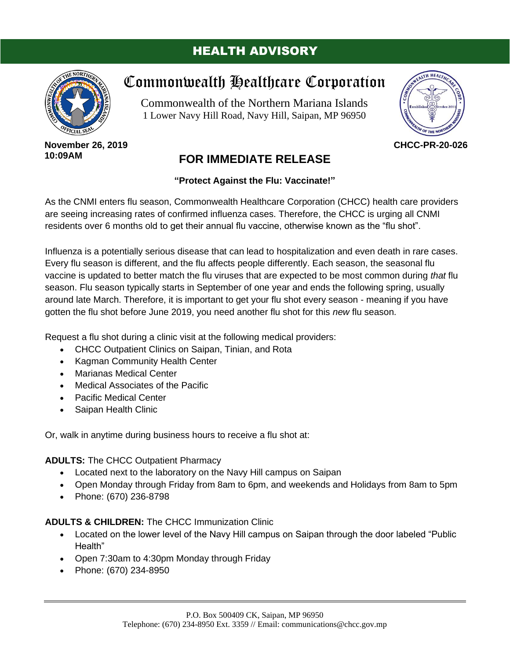### HEALTH ADVISORY



# Commonwealth Healthcare Corporation

Commonwealth of the Northern Mariana Islands 1 Lower Navy Hill Road, Navy Hill, Saipan, MP 96950



#### **November 26, 2019 10:09AM**

## **FOR IMMEDIATE RELEASE**

### **"Protect Against the Flu: Vaccinate!"**

As the CNMI enters flu season, Commonwealth Healthcare Corporation (CHCC) health care providers are seeing increasing rates of confirmed influenza cases. Therefore, the CHCC is urging all CNMI residents over 6 months old to get their annual flu vaccine, otherwise known as the "flu shot".

Influenza is a potentially serious disease that can lead to hospitalization and even death in rare cases. Every flu season is different, and the flu affects people differently. Each season, the seasonal flu vaccine is updated to better match the flu viruses that are expected to be most common during *that* flu season. Flu season typically starts in September of one year and ends the following spring, usually around late March. Therefore, it is important to get your flu shot every season - meaning if you have gotten the flu shot before June 2019, you need another flu shot for this *new* flu season.

Request a flu shot during a clinic visit at the following medical providers:

- CHCC Outpatient Clinics on Saipan, Tinian, and Rota
- Kagman Community Health Center
- Marianas Medical Center
- Medical Associates of the Pacific
- **Pacific Medical Center**
- Saipan Health Clinic

Or, walk in anytime during business hours to receive a flu shot at:

**ADULTS:** The CHCC Outpatient Pharmacy

- Located next to the laboratory on the Navy Hill campus on Saipan
- Open Monday through Friday from 8am to 6pm, and weekends and Holidays from 8am to 5pm
- Phone: (670) 236-8798

#### **ADULTS & CHILDREN:** The CHCC Immunization Clinic

- Located on the lower level of the Navy Hill campus on Saipan through the door labeled "Public Health"
- Open 7:30am to 4:30pm Monday through Friday
- Phone: (670) 234-8950